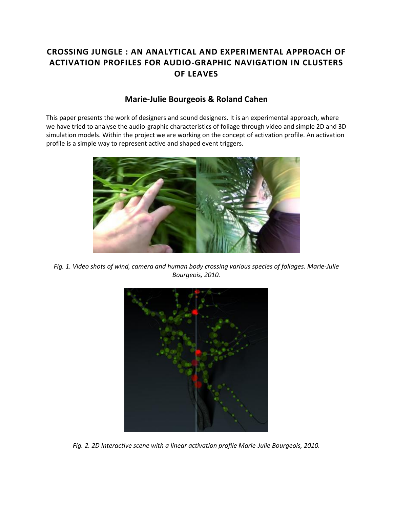# **CROSSING JUNGLE : AN ANALYTICAL AND EXPERIMENTAL APPROACH OF ACTIVATION PROFILES FOR AUDIO-GRAPHIC NAVIGATION IN CLUSTERS OF LEAVES**

# **Marie-Julie Bourgeois & Roland Cahen**

This paper presents the work of designers and sound designers. It is an experimental approach, where we have tried to analyse the audio-graphic characteristics of foliage through video and simple 2D and 3D simulation models. Within the project we are working on the concept of activation profile. An activation profile is a simple way to represent active and shaped event triggers.



*Fig. 1. Video shots of wind, camera and human body crossing various species of foliages. Marie-Julie Bourgeois, 2010.*



*Fig. 2. 2D Interactive scene with a linear activation profile Marie-Julie Bourgeois, 2010.*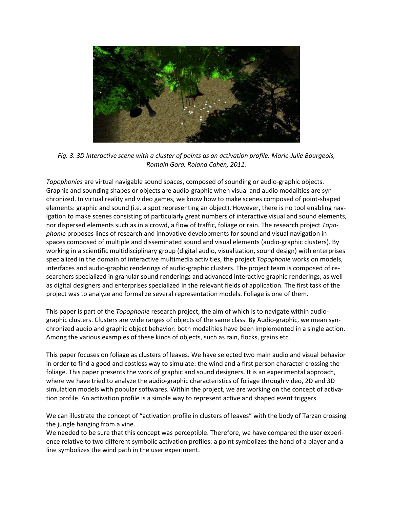

*Fig. 3. 3D Interactive scene with a cluster of points as an activation profile. Marie-Julie Bourgeois, Romain Gora, Roland Cahen, 2011.*

*Topophonies* are virtual navigable sound spaces, composed of sounding or audio-graphic objects. Graphic and sounding shapes or objects are audio-graphic when visual and audio modalities are synchronized. In virtual reality and video games, we know how to make scenes composed of point-shaped elements: graphic and sound (i.e. a spot representing an object). However, there is no tool enabling navigation to make scenes consisting of particularly great numbers of interactive visual and sound elements, nor dispersed elements such as in a crowd, a flow of traffic, foliage or rain. The research project *Topophonie* proposes lines of research and innovative developments for sound and visual navigation in spaces composed of multiple and disseminated sound and visual elements (audio-graphic clusters). By working in a scientific multidisciplinary group (digital audio, visualization, sound design) with enterprises specialized in the domain of interactive multimedia activities, the project *Topophonie* works on models, interfaces and audio-graphic renderings of audio-graphic clusters. The project team is composed of researchers specialized in granular sound renderings and advanced interactive graphic renderings, as well as digital designers and enterprises specialized in the relevant fields of application. The first task of the project was to analyze and formalize several representation models. Foliage is one of them.

This paper is part of the *Topophonie* research project, the aim of which is to navigate within audiographic clusters. Clusters are wide ranges of objects of the same class. By Audio-graphic, we mean synchronized audio and graphic object behavior: both modalities have been implemented in a single action. Among the various examples of these kinds of objects, such as rain, flocks, grains etc.

This paper focuses on foliage as clusters of leaves. We have selected two main audio and visual behavior in order to find a good and costless way to simulate: the wind and a first person character crossing the foliage. This paper presents the work of graphic and sound designers. It is an experimental approach, where we have tried to analyze the audio-graphic characteristics of foliage through video, 2D and 3D simulation models with popular softwares. Within the project, we are working on the concept of activation profile. An activation profile is a simple way to represent active and shaped event triggers.

We can illustrate the concept of "activation profile in clusters of leaves" with the body of Tarzan crossing the jungle hanging from a vine.

We needed to be sure that this concept was perceptible. Therefore, we have compared the user experience relative to two different symbolic activation profiles: a point symbolizes the hand of a player and a line symbolizes the wind path in the user experiment.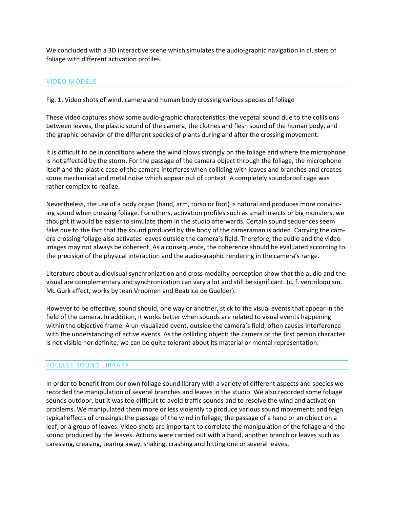We concluded with a 3D interactive scene which simulates the audio-graphic navigation in clusters of foliage with different activation profiles.

#### VIDEO MODELS

Fig. 1. Video shots of wind, camera and human body crossing various species of foliage

These video captures show some audio-graphic characteristics: the vegetal sound due to the collisions between leaves, the plastic sound of the camera, the clothes and flesh sound of the human body, and the graphic behavior of the different species of plants during and after the crossing movement.

It is difficult to be in conditions where the wind blows strongly on the foliage and where the microphone is not affected by the storm. For the passage of the camera object through the foliage, the microphone itself and the plastic case of the camera interferes when colliding with leaves and branches and creates some mechanical and metal noise which appear out of context. A completely soundproof cage was rather complex to realize.

Nevertheless, the use of a body organ (hand, arm, torso or foot) is natural and produces more convincing sound when crossing foliage. For others, activation profiles such as small insects or big monsters, we thought it would be easier to simulate them in the studio afterwards. Certain sound sequences seem fake due to the fact that the sound produced by the body of the cameraman is added. Carrying the camera crossing foliage also activates leaves outside the camera's field. Therefore, the audio and the video images may not always be coherent. As a consequence, the coherence should be evaluated according to the precision of the physical interaction and the audio-graphic rendering in the camera's range.

Literature about audiovisual synchronization and cross modality perception show that the audio and the visual are complementary and synchronization can vary a lot and still be significant. (c. f. ventriloquism, Mc Gurk effect, works by Jean Vroomen and Beatrice de Guelder).

However to be effective, sound should, one way or another, stick to the visual events that appear in the field of the camera. In addition, it works better when sounds are related to visual events happening within the objective frame. A un-visualized event, outside the camera's field, often causes interference with the understanding of active events. As the colliding object: the camera or the first person character is not visible nor definite, we can be quite tolerant about its material or mental representation.

### FOLIAGE SOUND LIBRARY

In order to benefit from our own foliage sound library with a variety of different aspects and species we recorded the manipulation of several branches and leaves in the studio. We also recorded some foliage sounds outdoor, but it was too difficult to avoid traffic sounds and to resolve the wind and activation problems. We manipulated them more or less violently to produce various sound movements and feign typical effects of crossings: the passage of the wind in foliage, the passage of a hand or an object on a leaf, or a group of leaves. Video shots are important to correlate the manipulation of the foliage and the sound produced by the leaves. Actions were carried out with a hand, another branch or leaves such as caressing, creasing, tearing away, shaking, crashing and hitting one or several leaves.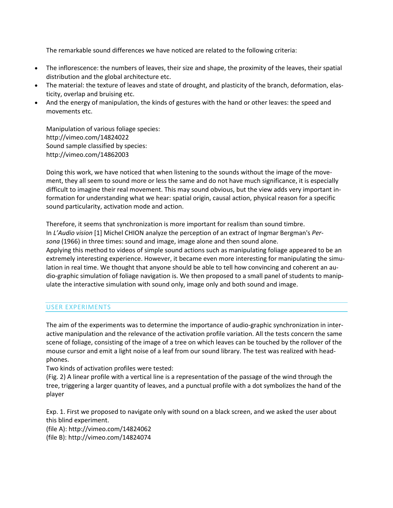The remarkable sound differences we have noticed are related to the following criteria:

- The inflorescence: the numbers of leaves, their size and shape, the proximity of the leaves, their spatial distribution and the global architecture etc.
- The material: the texture of leaves and state of drought, and plasticity of the branch, deformation, elasticity, overlap and bruising etc.
- And the energy of manipulation, the kinds of gestures with the hand or other leaves: the speed and movements etc.

Manipulation of various foliage species: http://vimeo.com/14824022 Sound sample classified by species: http://vimeo.com/14862003

Doing this work, we have noticed that when listening to the sounds without the image of the movement, they all seem to sound more or less the same and do not have much significance, it is especially difficult to imagine their real movement. This may sound obvious, but the view adds very important information for understanding what we hear: spatial origin, causal action, physical reason for a specific sound particularity, activation mode and action.

Therefore, it seems that synchronization is more important for realism than sound timbre. In *L'Audio vision* [1] Michel CHION analyze the perception of an extract of Ingmar Bergman's *Persona* (1966) in three times: sound and image, image alone and then sound alone. Applying this method to videos of simple sound actions such as manipulating foliage appeared to be an extremely interesting experience. However, it became even more interesting for manipulating the simulation in real time. We thought that anyone should be able to tell how convincing and coherent an audio-graphic simulation of foliage navigation is. We then proposed to a small panel of students to manipulate the interactive simulation with sound only, image only and both sound and image.

#### USER EXPERIMENTS

The aim of the experiments was to determine the importance of audio-graphic synchronization in interactive manipulation and the relevance of the activation profile variation. All the tests concern the same scene of foliage, consisting of the image of a tree on which leaves can be touched by the rollover of the mouse cursor and emit a light noise of a leaf from our sound library. The test was realized with headphones.

Two kinds of activation profiles were tested:

(Fig. 2) A linear profile with a vertical line is a representation of the passage of the wind through the tree, triggering a larger quantity of leaves, and a punctual profile with a dot symbolizes the hand of the player

Exp. 1. First we proposed to navigate only with sound on a black screen, and we asked the user about this blind experiment.

(file A): http://vimeo.com/14824062 (file B): http://vimeo.com/14824074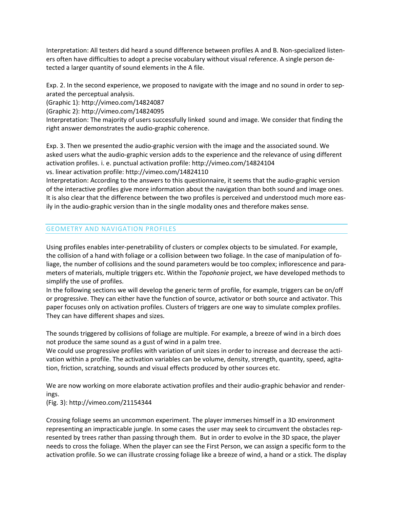Interpretation: All testers did heard a sound difference between profiles A and B. Non-specialized listeners often have difficulties to adopt a precise vocabulary without visual reference. A single person detected a larger quantity of sound elements in the A file.

Exp. 2. In the second experience, we proposed to navigate with the image and no sound in order to separated the perceptual analysis.

(Graphic 1): http://vimeo.com/14824087

(Graphic 2): http://vimeo.com/14824095

Interpretation: The majority of users successfully linked sound and image. We consider that finding the right answer demonstrates the audio-graphic coherence.

Exp. 3. Then we presented the audio-graphic version with the image and the associated sound. We asked users what the audio-graphic version adds to the experience and the relevance of using different activation profiles. i. e. punctual activation profile: http://vimeo.com/14824104 vs. linear activation profile: http://vimeo.com/14824110

Interpretation: According to the answers to this questionnaire, it seems that the audio-graphic version of the interactive profiles give more information about the navigation than both sound and image ones. It is also clear that the difference between the two profiles is perceived and understood much more easily in the audio-graphic version than in the single modality ones and therefore makes sense.

## GEOMETRY AND NAVIGATION PROFILES

Using profiles enables inter-penetrability of clusters or complex objects to be simulated. For example, the collision of a hand with foliage or a collision between two foliage. In the case of manipulation of foliage, the number of collisions and the sound parameters would be too complex; inflorescence and parameters of materials, multiple triggers etc. Within the *Topohonie* project, we have developed methods to simplify the use of profiles.

In the following sections we will develop the generic term of profile, for example, triggers can be on/off or progressive. They can either have the function of source, activator or both source and activator. This paper focuses only on activation profiles. Clusters of triggers are one way to simulate complex profiles. They can have different shapes and sizes.

The sounds triggered by collisions of foliage are multiple. For example, a breeze of wind in a birch does not produce the same sound as a gust of wind in a palm tree.

We could use progressive profiles with variation of unit sizes in order to increase and decrease the activation within a profile. The activation variables can be volume, density, strength, quantity, speed, agitation, friction, scratching, sounds and visual effects produced by other sources etc.

We are now working on more elaborate activation profiles and their audio-graphic behavior and renderings.

(Fig. 3): http://vimeo.com/21154344

Crossing foliage seems an uncommon experiment. The player immerses himself in a 3D environment representing an impracticable jungle. In some cases the user may seek to circumvent the obstacles represented by trees rather than passing through them. But in order to evolve in the 3D space, the player needs to cross the foliage. When the player can see the First Person, we can assign a specific form to the activation profile. So we can illustrate crossing foliage like a breeze of wind, a hand or a stick. The display